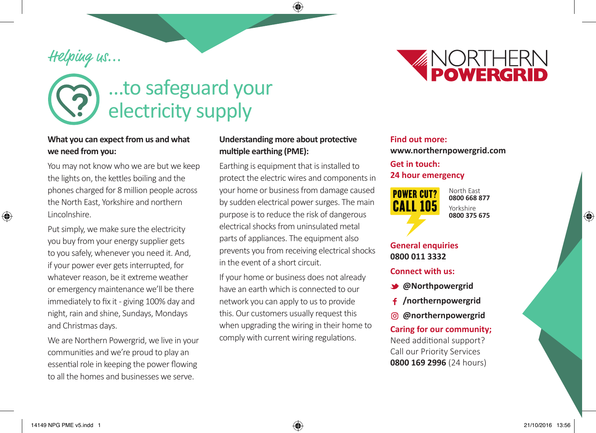# Helping us...



## **What you can expect from us and what we need from you:**

You may not know who we are but we keep the lights on, the kettles boiling and the phones charged for 8 million people across the North East, Yorkshire and northern Lincolnshire.

Put simply, we make sure the electricity you buy from your energy supplier gets to you safely, whenever you need it. And, if your power ever gets interrupted, for whatever reason, be it extreme weather or emergency maintenance we'll be there immediately to fix it - giving 100% day and night, rain and shine, Sundays, Mondays and Christmas days.

We are Northern Powergrid, we live in your communities and we're proud to play an essential role in keeping the power flowing to all the homes and businesses we serve.

## **Understanding more about protective multiple earthing (PME):**

◈

Earthing is equipment that is installed to protect the electric wires and components in your home or business from damage caused by sudden electrical power surges. The main purpose is to reduce the risk of dangerous electrical shocks from uninsulated metal parts of appliances. The equipment also prevents you from receiving electrical shocks in the event of a short circuit.

If your home or business does not already have an earth which is connected to our network you can apply to us to provide this. Our customers usually request this when upgrading the wiring in their home to comply with current wiring regulations.

# **Find out more: www.northernpowergrid.com**

## **Get in touch: 24 hour emergency**



North East **0800 668 877** Yorkshire **0800 375 675**

*ANORTHERN*<br>POWERGRID

# **General enquiries 0800 011 3332**

#### **Connect with us:**

- **@Northpowergrid**
- **/northernpowergrid**
- **@northernpowergrid**

## **Caring for our community;**  Need additional support? Call our Priority Services **0800 169 2996** (24 hours)

⊕

⊕